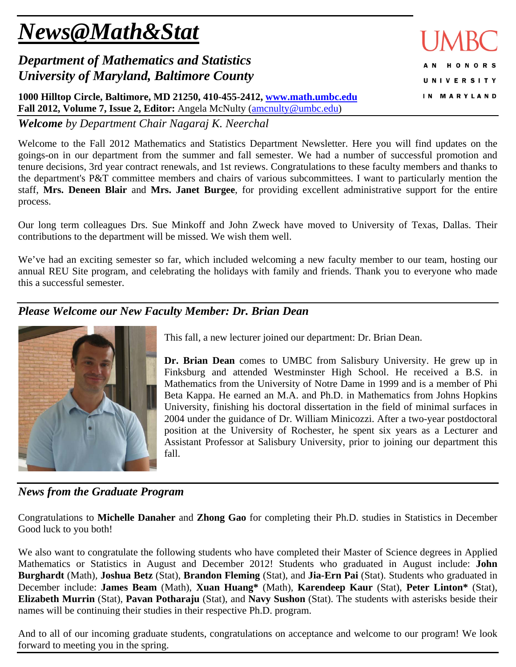# *News@Math&Stat*

## *Department of Mathematics and Statistics University of Maryland, Baltimore County*

**1000 Hilltop Circle, Baltimore, MD 21250, 410-455-2412, www.math.umbc.edu** Fall 2012, Volume 7, Issue 2, Editor: Angela McNulty (amcnulty@umbc.edu)

*Welcome by Department Chair Nagaraj K. Neerchal*

Welcome to the Fall 2012 Mathematics and Statistics Department Newsletter. Here you will find updates on the goings-on in our department from the summer and fall semester. We had a number of successful promotion and tenure decisions, 3rd year contract renewals, and 1st reviews. Congratulations to these faculty members and thanks to the department's P&T committee members and chairs of various subcommittees. I want to particularly mention the staff, **Mrs. Deneen Blair** and **Mrs. Janet Burgee**, for providing excellent administrative support for the entire process.

Our long term colleagues Drs. Sue Minkoff and John Zweck have moved to University of Texas, Dallas. Their contributions to the department will be missed. We wish them well.

We've had an exciting semester so far, which included welcoming a new faculty member to our team, hosting our annual REU Site program, and celebrating the holidays with family and friends. Thank you to everyone who made this a successful semester.

## *Please Welcome our New Faculty Member: Dr. Brian Dean*



This fall, a new lecturer joined our department: Dr. Brian Dean.

**Dr. Brian Dean** comes to UMBC from Salisbury University. He grew up in Finksburg and attended Westminster High School. He received a B.S. in Mathematics from the University of Notre Dame in 1999 and is a member of Phi Beta Kappa. He earned an M.A. and Ph.D. in Mathematics from Johns Hopkins University, finishing his doctoral dissertation in the field of minimal surfaces in 2004 under the guidance of Dr. William Minicozzi. After a two-year postdoctoral position at the University of Rochester, he spent six years as a Lecturer and Assistant Professor at Salisbury University, prior to joining our department this fall.

### *News from the Graduate Program*

Congratulations to **Michelle Danaher** and **Zhong Gao** for completing their Ph.D. studies in Statistics in December Good luck to you both!

We also want to congratulate the following students who have completed their Master of Science degrees in Applied Mathematics or Statistics in August and December 2012! Students who graduated in August include: **John Burghardt** (Math), **Joshua Betz** (Stat), **Brandon Fleming** (Stat), and **Jia-Ern Pai** (Stat). Students who graduated in December include: **James Beam** (Math), **Xuan Huang\*** (Math), **Karendeep Kaur** (Stat), **Peter Linton\*** (Stat), **Elizabeth Murrin** (Stat), **Pavan Potharaju** (Stat), and **Navy Sushon** (Stat). The students with asterisks beside their names will be continuing their studies in their respective Ph.D. program.

And to all of our incoming graduate students, congratulations on acceptance and welcome to our program! We look forward to meeting you in the spring.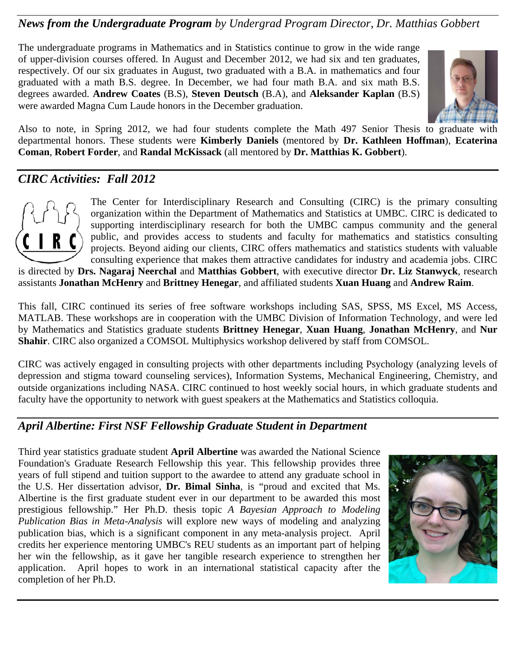## *News from the Undergraduate Program by Undergrad Program Director, Dr. Matthias Gobbert*

The undergraduate programs in Mathematics and in Statistics continue to grow in the wide range of upper-division courses offered. In August and December 2012, we had six and ten graduates, respectively. Of our six graduates in August, two graduated with a B.A. in mathematics and four graduated with a math B.S. degree. In December, we had four math B.A. and six math B.S. degrees awarded. **Andrew Coates** (B.S), **Steven Deutsch** (B.A), and **Aleksander Kaplan** (B.S) were awarded Magna Cum Laude honors in the December graduation.



Also to note, in Spring 2012, we had four students complete the Math 497 Senior Thesis to graduate with departmental honors. These students were **Kimberly Daniels** (mentored by **Dr. Kathleen Hoffman**), **Ecaterina Coman**, **Robert Forder**, and **Randal McKissack** (all mentored by **Dr. Matthias K. Gobbert**).

## *CIRC Activities: Fall 2012*



The Center for Interdisciplinary Research and Consulting (CIRC) is the primary consulting organization within the Department of Mathematics and Statistics at UMBC. CIRC is dedicated to supporting interdisciplinary research for both the UMBC campus community and the general public, and provides access to students and faculty for mathematics and statistics consulting projects. Beyond aiding our clients, CIRC offers mathematics and statistics students with valuable consulting experience that makes them attractive candidates for industry and academia jobs. CIRC

is directed by **Drs. Nagaraj Neerchal** and **Matthias Gobbert**, with executive director **Dr. Liz Stanwyck**, research assistants **Jonathan McHenry** and **Brittney Henegar**, and affiliated students **Xuan Huang** and **Andrew Raim**.

This fall, CIRC continued its series of free software workshops including SAS, SPSS, MS Excel, MS Access, MATLAB. These workshops are in cooperation with the UMBC Division of Information Technology, and were led by Mathematics and Statistics graduate students **Brittney Henegar**, **Xuan Huang**, **Jonathan McHenry**, and **Nur Shahir**. CIRC also organized a COMSOL Multiphysics workshop delivered by staff from COMSOL.

CIRC was actively engaged in consulting projects with other departments including Psychology (analyzing levels of depression and stigma toward counseling services), Information Systems, Mechanical Engineering, Chemistry, and outside organizations including NASA. CIRC continued to host weekly social hours, in which graduate students and faculty have the opportunity to network with guest speakers at the Mathematics and Statistics colloquia.

## *April Albertine: First NSF Fellowship Graduate Student in Department*

Third year statistics graduate student **April Albertine** was awarded the National Science Foundation's Graduate Research Fellowship this year. This fellowship provides three years of full stipend and tuition support to the awardee to attend any graduate school in the U.S. Her dissertation advisor, **Dr. Bimal Sinha**, is "proud and excited that Ms. Albertine is the first graduate student ever in our department to be awarded this most prestigious fellowship." Her Ph.D. thesis topic *A Bayesian Approach to Modeling Publication Bias in Meta-Analysis* will explore new ways of modeling and analyzing publication bias, which is a significant component in any meta-analysis project. April credits her experience mentoring UMBC's REU students as an important part of helping her win the fellowship, as it gave her tangible research experience to strengthen her application. April hopes to work in an international statistical capacity after the completion of her Ph.D.

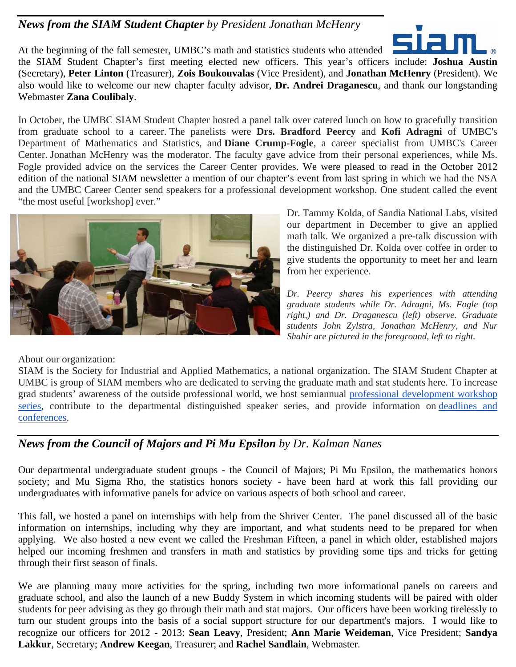## *News from the SIAM Student Chapter by President Jonathan McHenry*



At the beginning of the fall semester, UMBC's math and statistics students who attended the SIAM Student Chapter's first meeting elected new officers. This year's officers include: **Joshua Austin** (Secretary), **Peter Linton** (Treasurer), **Zois Boukouvalas** (Vice President), and **Jonathan McHenry** (President). We also would like to welcome our new chapter faculty advisor, **Dr. Andrei Draganescu**, and thank our longstanding Webmaster **Zana Coulibaly**.

In October, the UMBC SIAM Student Chapter hosted a panel talk over catered lunch on how to gracefully transition from graduate school to a career. The panelists were **Drs. Bradford Peercy** and **Kofi Adragni** of UMBC's Department of Mathematics and Statistics, and **Diane Crump-Fogle**, a career specialist from UMBC's Career Center. Jonathan McHenry was the moderator. The faculty gave advice from their personal experiences, while Ms. Fogle provided advice on the services the Career Center provides. We were pleased to read in the October 2012 edition of the national SIAM newsletter a mention of our chapter's event from last spring in which we had the NSA and the UMBC Career Center send speakers for a professional development workshop. One student called the event "the most useful [workshop] ever."



Dr. Tammy Kolda, of Sandia National Labs, visited our department in December to give an applied math talk. We organized a pre-talk discussion with the distinguished Dr. Kolda over coffee in order to give students the opportunity to meet her and learn from her experience.

*Dr. Peercy shares his experiences with attending graduate students while Dr. Adragni, Ms. Fogle (top right,) and Dr. Draganescu (left) observe. Graduate students John Zylstra, Jonathan McHenry, and Nur Shahir are pictured in the foreground, left to right.* 

About our organization:

SIAM is the Society for Industrial and Applied Mathematics, a national organization. The SIAM Student Chapter at UMBC is group of SIAM members who are dedicated to serving the graduate math and stat students here. To increase grad students' awareness of the outside professional world, we host semiannual professional development workshop series, contribute to the departmental distinguished speaker series, and provide information on deadlines and conferences.

### *News from the Council of Majors and Pi Mu Epsilon by Dr. Kalman Nanes*

Our departmental undergraduate student groups - the Council of Majors; Pi Mu Epsilon, the mathematics honors society; and Mu Sigma Rho, the statistics honors society - have been hard at work this fall providing our undergraduates with informative panels for advice on various aspects of both school and career.

This fall, we hosted a panel on internships with help from the Shriver Center. The panel discussed all of the basic information on internships, including why they are important, and what students need to be prepared for when applying. We also hosted a new event we called the Freshman Fifteen, a panel in which older, established majors helped our incoming freshmen and transfers in math and statistics by providing some tips and tricks for getting through their first season of finals.

We are planning many more activities for the spring, including two more informational panels on careers and graduate school, and also the launch of a new Buddy System in which incoming students will be paired with older students for peer advising as they go through their math and stat majors. Our officers have been working tirelessly to turn our student groups into the basis of a social support structure for our department's majors. I would like to recognize our officers for 2012 - 2013: **Sean Leavy**, President; **Ann Marie Weideman**, Vice President; **Sandya Lakkur**, Secretary; **Andrew Keegan**, Treasurer; and **Rachel Sandlain**, Webmaster.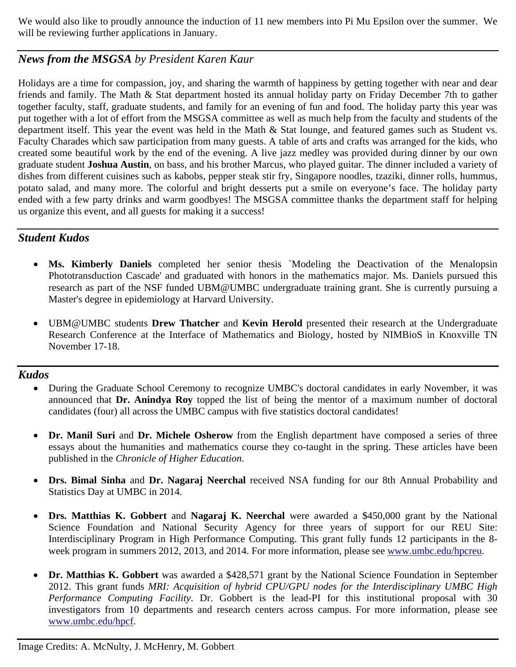We would also like to proudly announce the induction of 11 new members into Pi Mu Epsilon over the summer. We will be reviewing further applications in January.

## *News from the MSGSA by President Karen Kaur*

Holidays are a time for compassion, joy, and sharing the warmth of happiness by getting together with near and dear friends and family. The Math & Stat department hosted its annual holiday party on Friday December 7th to gather together faculty, staff, graduate students, and family for an evening of fun and food. The holiday party this year was put together with a lot of effort from the MSGSA committee as well as much help from the faculty and students of the department itself. This year the event was held in the Math & Stat lounge, and featured games such as Student vs. Faculty Charades which saw participation from many guests. A table of arts and crafts was arranged for the kids, who created some beautiful work by the end of the evening. A live jazz medley was provided during dinner by our own graduate student **Joshua Austin**, on bass, and his brother Marcus, who played guitar. The dinner included a variety of dishes from different cuisines such as kabobs, pepper steak stir fry, Singapore noodles, tzaziki, dinner rolls, hummus, potato salad, and many more. The colorful and bright desserts put a smile on everyone's face. The holiday party ended with a few party drinks and warm goodbyes! The MSGSA committee thanks the department staff for helping us organize this event, and all guests for making it a success!

## *Student Kudos*

- **Ms. Kimberly Daniels** completed her senior thesis `Modeling the Deactivation of the Menalopsin Phototransduction Cascade' and graduated with honors in the mathematics major. Ms. Daniels pursued this research as part of the NSF funded UBM@UMBC undergraduate training grant. She is currently pursuing a Master's degree in epidemiology at Harvard University.
- UBM@UMBC students **Drew Thatcher** and **Kevin Herold** presented their research at the Undergraduate Research Conference at the Interface of Mathematics and Biology, hosted by NIMBioS in Knoxville TN November 17-18.

#### *Kudos*

- During the Graduate School Ceremony to recognize UMBC's doctoral candidates in early November, it was announced that **Dr. Anindya Roy** topped the list of being the mentor of a maximum number of doctoral candidates (four) all across the UMBC campus with five statistics doctoral candidates!
- **Dr. Manil Suri** and Dr. Michele Osherow from the English department have composed a series of three essays about the humanities and mathematics course they co-taught in the spring. These articles have been published in the *Chronicle of Higher Education*.
- **Drs. Bimal Sinha** and **Dr. Nagaraj Neerchal** received NSA funding for our 8th Annual Probability and Statistics Day at UMBC in 2014.
- **Drs. Matthias K. Gobbert** and **Nagaraj K. Neerchal** were awarded a \$450,000 grant by the National Science Foundation and National Security Agency for three years of support for our REU Site: Interdisciplinary Program in High Performance Computing. This grant fully funds 12 participants in the 8 week program in summers 2012, 2013, and 2014. For more information, please see www.umbc.edu/hpcreu.
- **Dr. Matthias K. Gobbert** was awarded a \$428,571 grant by the National Science Foundation in September 2012. This grant funds *MRI: Acquisition of hybrid CPU/GPU nodes for the Interdisciplinary UMBC High Performance Computing Facility*. Dr. Gobbert is the lead-PI for this institutional proposal with 30 investigators from 10 departments and research centers across campus. For more information, please see www.umbc.edu/hpcf.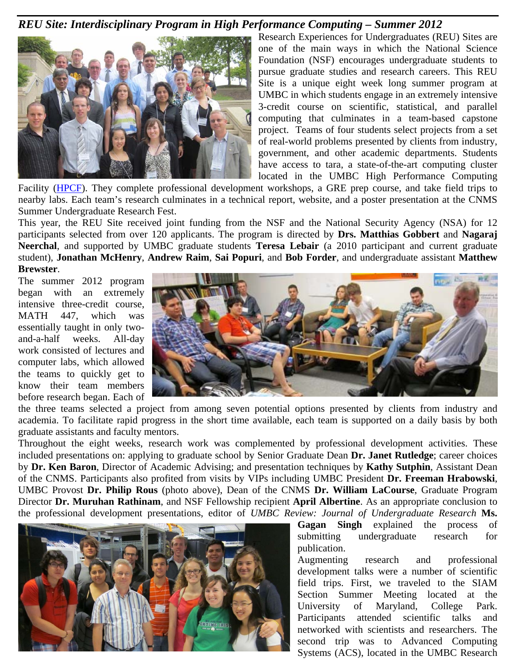#### *REU Site: Interdisciplinary Program in High Performance Computing – Summer 2012*



Research Experiences for Undergraduates (REU) Sites are one of the main ways in which the National Science Foundation (NSF) encourages undergraduate students to pursue graduate studies and research careers. This REU Site is a unique eight week long summer program at UMBC in which students engage in an extremely intensive 3-credit course on scientific, statistical, and parallel computing that culminates in a team-based capstone project. Teams of four students select projects from a set of real-world problems presented by clients from industry, government, and other academic departments. Students have access to tara, a state-of-the-art computing cluster located in the UMBC High Performance Computing

Facility (HPCF). They complete professional development workshops, a GRE prep course, and take field trips to nearby labs. Each team's research culminates in a technical report, website, and a poster presentation at the CNMS Summer Undergraduate Research Fest.

This year, the REU Site received joint funding from the NSF and the National Security Agency (NSA) for 12 participants selected from over 120 applicants. The program is directed by **Drs. Matthias Gobbert** and **Nagaraj Neerchal**, and supported by UMBC graduate students **Teresa Lebair** (a 2010 participant and current graduate student), **Jonathan McHenry**, **Andrew Raim**, **Sai Popuri**, and **Bob Forder**, and undergraduate assistant **Matthew Brewster**.

The summer 2012 program began with an extremely intensive three-credit course, MATH 447, which was essentially taught in only twoand-a-half weeks. All-day work consisted of lectures and computer labs, which allowed the teams to quickly get to know their team members before research began. Each of



the three teams selected a project from among seven potential options presented by clients from industry and academia. To facilitate rapid progress in the short time available, each team is supported on a daily basis by both graduate assistants and faculty mentors.

Throughout the eight weeks, research work was complemented by professional development activities. These included presentations on: applying to graduate school by Senior Graduate Dean **Dr. Janet Rutledge**; career choices by **Dr. Ken Baron**, Director of Academic Advising; and presentation techniques by **Kathy Sutphin**, Assistant Dean of the CNMS. Participants also profited from visits by VIPs including UMBC President **Dr. Freeman Hrabowski**, UMBC Provost **Dr. Philip Rous** (photo above), Dean of the CNMS **Dr. William LaCourse**, Graduate Program Director **Dr. Muruhan Rathinam**, and NSF Fellowship recipient **April Albertine**. As an appropriate conclusion to the professional development presentations, editor of *UMBC Review: Journal of Undergraduate Research* **Ms.** 



**Gagan Singh** explained the process of submitting undergraduate research for publication.

Augmenting research and professional development talks were a number of scientific field trips. First, we traveled to the SIAM Section Summer Meeting located at the University of Maryland, College Park. Participants attended scientific talks and networked with scientists and researchers. The second trip was to Advanced Computing Systems (ACS), located in the UMBC Research